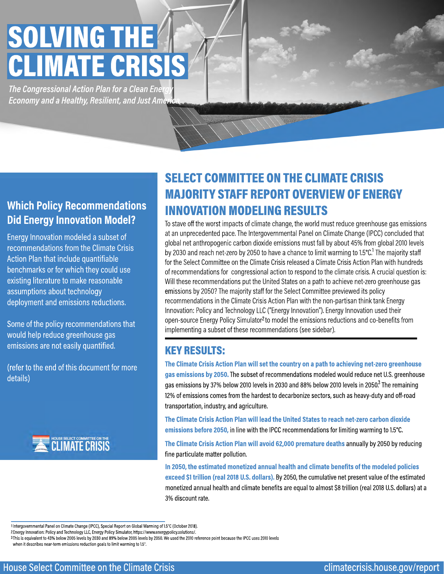**Which Policy Recommendations Did Energy Innovation Model?**

Energy Innovation modeled a subset of recommendations from the Climate Crisis Action Plan that include quantifiable benchmarks or for which they could use existing literature to make reasonable assumptions about technology deployment and emissions reductions.

> **The Climate Crisis Action Plan will set the country on a path to achieving net-zero greenhouse gas emissions by 2050.** The subset of recommendations modeled would reduce net U.S. greenhouse gas emissions by 37% below 2010 levels in 2030 and 88% below 2010 levels in 2050. The remaining 12% of emissions comes from the hardest to decarbonize sectors, such as heavy-duty and off-road transportation, industry, and agriculture. 3 T

Some of the policy recommendations that would help reduce greenhouse gas emissions are not easily quantified.

(refer to the end of this document for more details)



Intergovernmental Panel on Climate Change (IPCC), Special Report on Global Warming of 1.5°C (October 2018). 1 Energy Innovation: Policy and Technology LLC, Energy Policy Simulator, https://www.energypolicy.solutions/. 2 <sup>3</sup>This is equivalent to 43% below 2005 levels by 2030 and 89% below 2005 levels by 2050. We used the 2010 reference point because the IPCC uses 2010 levels when it describes near-term emissions reduction goals to limit warming to 1.5°.

**The Climate Crisis Action Plan will lead the United States to reach net-zero carbon dioxide emissions before 2050,** in line with the IPCC recommendations for limiting warming to 1.5°C.

**The Climate Crisis Action Plan will avoid 62,000 premature deaths** annually by 2050 by reducing fine particulate matter pollution.

**In 2050, the estimated monetized annual health and climate benefits of the modeled policies** 

**exceed \$1 trillion (real 2018 U.S. dollars).** By 2050, the cumulative net present value of the estimated monetized annual health and climate benefits are equal to almost \$8 trillion (real 2018 U.S. dollars) at a 3% discount rate.

open-source Energy Policy Simulator<sup>2</sup> to model the emissions reductions and co-benefits from implementing a subset of these recommendations (see sidebar).

# SOLVING THE CLIMATE CRISIS/

**The Congressional Action Plan for a Clean Energy** *Economy and a Healthy, Resilient, and Just America*

#### KEY RESULTS:

### SELECT COMMITTEE ON THE CLIMATE CRISIS MAJORITY STAFF REPORT OVERVIEW OF ENERGY INNOVATION MODELING RESULTS

To stave off the worst impacts of climate change, the world must reduce greenhouse gas emissions at an unprecedented pace. The Intergovernmental Panel on Climate Change (IPCC) concluded that global net anthropogenic carbon dioxide emissions must fall by about 45% from global 2010 levels by 2030 and reach net-zero by 2050 to have a chance to limit warming to 1.5°C. The majority staff for the Select Committee on the Climate Crisis released a Climate Crisis Action Plan with hundreds of recommendations for congressional action to respond to the climate crisis. A crucial question is: Will these recommendations put the United States on a path to achieve net-zero greenhouse gas emissions by 2050? The majority staff for the Select Committee previewed its policy recommendations in the Climate Crisis Action Plan with the non-partisan think tank Energy Innovation: Policy and Technology LLC ("Energy Innovation"). Energy Innovation used their  $1<sub>T</sub>$